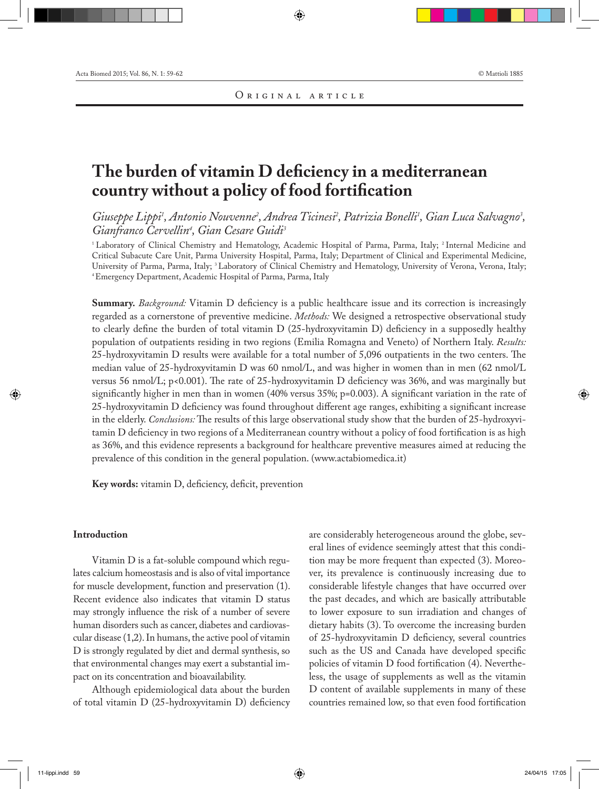# **The burden of vitamin D deficiency in a mediterranean country without a policy of food fortification**

Giuseppe Lippi<sup>1</sup>, Antonio Nouvenne<sup>2</sup>, Andrea Ticinesi<sup>2</sup>, Patrizia Bonelli<sup>1</sup>, Gian Luca Salvagno<sup>3</sup>, *Gianfranco Cervellin4 , Gian Cesare Guidi3* 

<sup>1</sup> Laboratory of Clinical Chemistry and Hematology, Academic Hospital of Parma, Parma, Italy; <sup>2</sup> Internal Medicine and Critical Subacute Care Unit, Parma University Hospital, Parma, Italy; Department of Clinical and Experimental Medicine, University of Parma, Parma, Italy; <sup>3</sup> Laboratory of Clinical Chemistry and Hematology, University of Verona, Verona, Italy; 4 Emergency Department, Academic Hospital of Parma, Parma, Italy

**Summary.** *Background:* Vitamin D deficiency is a public healthcare issue and its correction is increasingly regarded as a cornerstone of preventive medicine. *Methods:* We designed a retrospective observational study to clearly define the burden of total vitamin D (25-hydroxyvitamin D) deficiency in a supposedly healthy population of outpatients residing in two regions (Emilia Romagna and Veneto) of Northern Italy. *Results:* 25-hydroxyvitamin D results were available for a total number of 5,096 outpatients in the two centers. The median value of 25-hydroxyvitamin D was 60 nmol/L, and was higher in women than in men (62 nmol/L versus 56 nmol/L; p<0.001). The rate of 25-hydroxyvitamin D deficiency was 36%, and was marginally but significantly higher in men than in women (40% versus 35%; p=0.003). A significant variation in the rate of 25-hydroxyvitamin D deficiency was found throughout different age ranges, exhibiting a significant increase in the elderly. *Conclusions:* The results of this large observational study show that the burden of 25-hydroxyvitamin D deficiency in two regions of a Mediterranean country without a policy of food fortification is as high as 36%, and this evidence represents a background for healthcare preventive measures aimed at reducing the prevalence of this condition in the general population. (www.actabiomedica.it)

**Key words:** vitamin D, deficiency, deficit, prevention

## **Introduction**

Vitamin D is a fat-soluble compound which regulates calcium homeostasis and is also of vital importance for muscle development, function and preservation (1). Recent evidence also indicates that vitamin D status may strongly influence the risk of a number of severe human disorders such as cancer, diabetes and cardiovascular disease (1,2). In humans, the active pool of vitamin D is strongly regulated by diet and dermal synthesis, so that environmental changes may exert a substantial impact on its concentration and bioavailability.

Although epidemiological data about the burden of total vitamin D (25-hydroxyvitamin D) deficiency are considerably heterogeneous around the globe, several lines of evidence seemingly attest that this condition may be more frequent than expected (3). Moreover, its prevalence is continuously increasing due to considerable lifestyle changes that have occurred over the past decades, and which are basically attributable to lower exposure to sun irradiation and changes of dietary habits (3). To overcome the increasing burden of 25-hydroxyvitamin D deficiency, several countries such as the US and Canada have developed specific policies of vitamin D food fortification (4). Nevertheless, the usage of supplements as well as the vitamin D content of available supplements in many of these countries remained low, so that even food fortification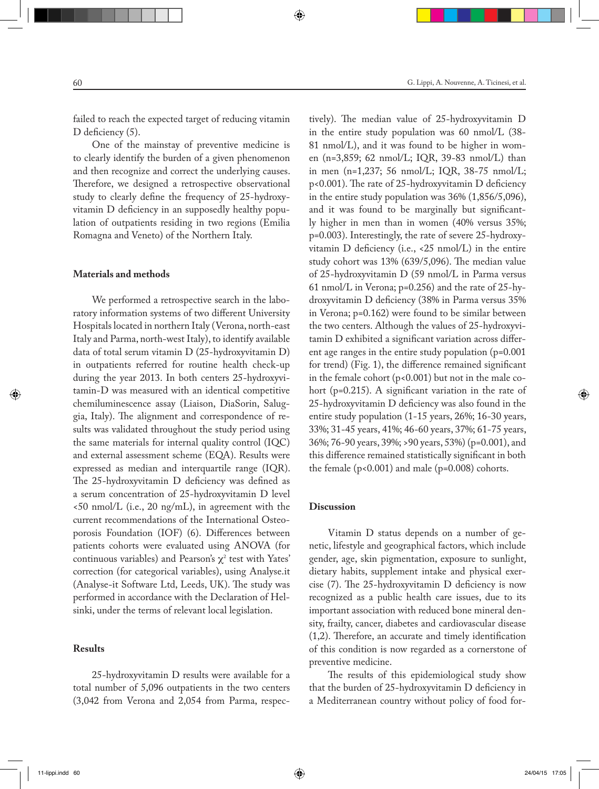failed to reach the expected target of reducing vitamin D deficiency (5).

One of the mainstay of preventive medicine is to clearly identify the burden of a given phenomenon and then recognize and correct the underlying causes. Therefore, we designed a retrospective observational study to clearly define the frequency of 25-hydroxyvitamin D deficiency in an supposedly healthy population of outpatients residing in two regions (Emilia Romagna and Veneto) of the Northern Italy.

#### **Materials and methods**

We performed a retrospective search in the laboratory information systems of two different University Hospitals located in northern Italy (Verona, north-east Italy and Parma, north-west Italy), to identify available data of total serum vitamin D (25-hydroxyvitamin D) in outpatients referred for routine health check-up during the year 2013. In both centers 25-hydroxyvitamin-D was measured with an identical competitive chemiluminescence assay (Liaison, DiaSorin, Saluggia, Italy). The alignment and correspondence of results was validated throughout the study period using the same materials for internal quality control (IQC) and external assessment scheme (EQA). Results were expressed as median and interquartile range (IQR). The 25-hydroxyvitamin D deficiency was defined as a serum concentration of 25-hydroxyvitamin D level <50 nmol/L (i.e., 20 ng/mL), in agreement with the current recommendations of the International Osteoporosis Foundation (IOF) (6). Differences between patients cohorts were evaluated using ANOVA (for continuous variables) and Pearson's  $\chi^2$  test with Yates' correction (for categorical variables), using Analyse.it (Analyse-it Software Ltd, Leeds, UK). The study was performed in accordance with the Declaration of Helsinki, under the terms of relevant local legislation.

#### **Results**

25-hydroxyvitamin D results were available for a total number of 5,096 outpatients in the two centers (3,042 from Verona and 2,054 from Parma, respectively). The median value of 25-hydroxyvitamin D in the entire study population was 60 nmol/L (38- 81 nmol/L), and it was found to be higher in women (n=3,859; 62 nmol/L; IQR, 39-83 nmol/L) than in men (n=1,237; 56 nmol/L; IQR, 38-75 nmol/L; p<0.001). The rate of 25-hydroxyvitamin D deficiency in the entire study population was 36% (1,856/5,096), and it was found to be marginally but significantly higher in men than in women (40% versus 35%; p=0.003). Interestingly, the rate of severe 25-hydroxyvitamin D deficiency (i.e., <25 nmol/L) in the entire study cohort was 13% (639/5,096). The median value of 25-hydroxyvitamin D (59 nmol/L in Parma versus 61 nmol/L in Verona; p=0.256) and the rate of 25-hydroxyvitamin D deficiency (38% in Parma versus 35% in Verona; p=0.162) were found to be similar between the two centers. Although the values of 25-hydroxyvitamin D exhibited a significant variation across different age ranges in the entire study population (p=0.001 for trend) (Fig. 1), the difference remained significant in the female cohort  $(p<0.001)$  but not in the male cohort (p=0.215). A significant variation in the rate of 25-hydroxyvitamin D deficiency was also found in the entire study population (1-15 years, 26%; 16-30 years, 33%; 31-45 years, 41%; 46-60 years, 37%; 61-75 years, 36%; 76-90 years, 39%; >90 years, 53%) (p=0.001), and this difference remained statistically significant in both the female (p<0.001) and male (p=0.008) cohorts.

### **Discussion**

Vitamin D status depends on a number of genetic, lifestyle and geographical factors, which include gender, age, skin pigmentation, exposure to sunlight, dietary habits, supplement intake and physical exercise (7). The 25-hydroxyvitamin D deficiency is now recognized as a public health care issues, due to its important association with reduced bone mineral density, frailty, cancer, diabetes and cardiovascular disease (1,2). Therefore, an accurate and timely identification of this condition is now regarded as a cornerstone of preventive medicine.

The results of this epidemiological study show that the burden of 25-hydroxyvitamin D deficiency in a Mediterranean country without policy of food for-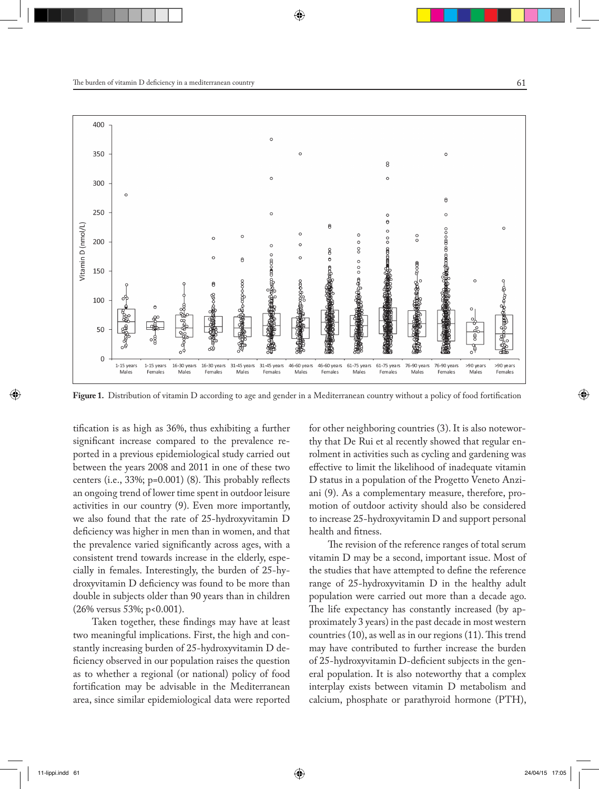

**Figure 1.** Distribution of vitamin D according to age and gender in a Mediterranean country without a policy of food fortification

tification is as high as 36%, thus exhibiting a further significant increase compared to the prevalence reported in a previous epidemiological study carried out between the years 2008 and 2011 in one of these two centers (i.e., 33%; p=0.001) (8). This probably reflects an ongoing trend of lower time spent in outdoor leisure activities in our country (9). Even more importantly, we also found that the rate of 25-hydroxyvitamin D deficiency was higher in men than in women, and that the prevalence varied significantly across ages, with a consistent trend towards increase in the elderly, especially in females. Interestingly, the burden of 25-hydroxyvitamin D deficiency was found to be more than double in subjects older than 90 years than in children (26% versus 53%; p<0.001).

Taken together, these findings may have at least two meaningful implications. First, the high and constantly increasing burden of 25-hydroxyvitamin D deficiency observed in our population raises the question as to whether a regional (or national) policy of food fortification may be advisable in the Mediterranean area, since similar epidemiological data were reported for other neighboring countries (3). It is also noteworthy that De Rui et al recently showed that regular enrolment in activities such as cycling and gardening was effective to limit the likelihood of inadequate vitamin D status in a population of the Progetto Veneto Anziani (9). As a complementary measure, therefore, promotion of outdoor activity should also be considered to increase 25-hydroxyvitamin D and support personal health and fitness.

The revision of the reference ranges of total serum vitamin D may be a second, important issue. Most of the studies that have attempted to define the reference range of 25-hydroxyvitamin D in the healthy adult population were carried out more than a decade ago. The life expectancy has constantly increased (by approximately 3 years) in the past decade in most western countries (10), as well as in our regions (11). This trend may have contributed to further increase the burden of 25-hydroxyvitamin D-deficient subjects in the general population. It is also noteworthy that a complex interplay exists between vitamin D metabolism and calcium, phosphate or parathyroid hormone (PTH),